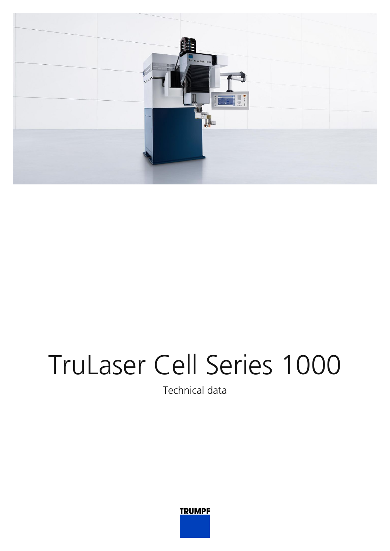

## TruLaser Cell Series 1000

Technical data